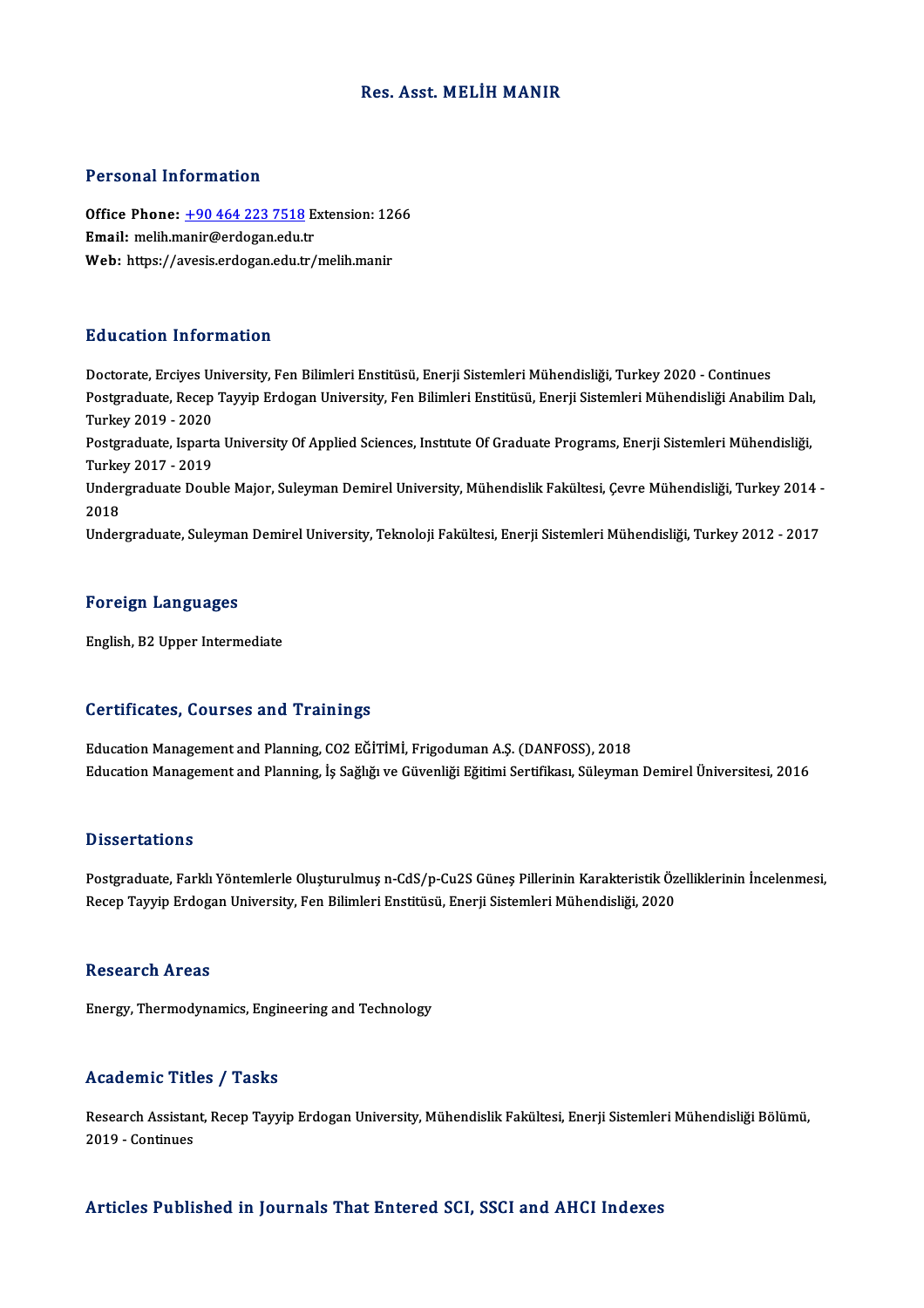# Res. Asst. MELİH MANIR

# Personal Information

Personal Information<br>Office Phone: <u>+90 464 223 7518</u> Extension: 1266<br>Email: melih manir@ordogan.cdu.tr Procession information<br>Office Phone: <u>+90 464 223 7518</u> E<br>Email: melih.m[anir@erdogan.edu.t](tel:+90 464 223 7518)r Office Phone: <u>+90 464 223 7518</u> Extension: 12<br>Email: melih.manir@erdogan.edu.tr<br>Web: https://avesis.erdogan.edu.tr/melih.manir Web: https://avesis.erdogan.edu.tr/melih.manir<br>Education Information

Doctorate, Erciyes University, Fen Bilimleri Enstitüsü, Enerji Sistemleri Mühendisliği, Turkey 2020 - Continues Pu u outron Triron inutron<br>Doctorate, Erciyes University, Fen Bilimleri Enstitüsü, Enerji Sistemleri Mühendisliği, Turkey 2020 - Continues<br>Postgraduate, Recep Tayyip Erdogan University, Fen Bilimleri Enstitüsü, Enerji Sist Doctorate, Erciyes U<br>Postgraduate, Recep<br>Turkey 2019 - 2020<br>Postgraduate, Ispants Postgraduate, Recep Tayyip Erdogan University, Fen Bilimleri Enstitüsü, Enerji Sistemleri Mühendisliği Anabilim Dalı<br>Turkey 2019 - 2020<br>Postgraduate, Isparta University Of Applied Sciences, Institute Of Graduate Programs, Turkey 2019 - 2020<br>Postgraduate, Isparta University Of Applied Sciences, Institute Of Graduate Programs, Enerji Sistemleri Mühendisliği, Undergraduate Double Major, Suleyman Demirel University, Mühendislik Fakültesi, Çevre Mühendisliği, Turkey 2014 -<br>2018 Turkey 2017 - 2019 Undergraduate, Suleyman Demirel University, Teknoloji Fakültesi, Enerji Sistemleri Mühendisliği, Turkey 2012 - 2017

# Foreign Languages

English,B2Upper Intermediate

# Certificates, Courses and Trainings

Education Management and Planning, CO2 EĞİTİMİ, Frigoduman A.Ş. (DANFOSS), 2018 Education Management and Planning, İş Sağlığı ve Güvenliği Eğitimi Sertifikası, Süleyman Demirel Üniversitesi, 2016

# **Dissertations**

Dissertations<br>Postgraduate, Farklı Yöntemlerle Oluşturulmuş n-CdS/p-Cu2S Güneş Pillerinin Karakteristik Özelliklerinin İncelenmesi,<br>Pesan Tayyin Endosan University, Fen Bilimleri Enstitüsü, Enerii Sistemleri Mühandialiği, Bassea tatroms<br>Postgraduate, Farklı Yöntemlerle Oluşturulmuş n-CdS/p-Cu2S Güneş Pillerinin Karakteristik Öz<br>Recep Tayyip Erdogan University, Fen Bilimleri Enstitüsü, Enerji Sistemleri Mühendisliği, 2020 Recep Tayyip Erdogan University, Fen Bilimleri Enstitüsü, Enerji Sistemleri Mühendisliği, 2020<br>Research Areas

Energy, Thermodynamics, Engineering and Technology

## Academic Titles / Tasks

**Academic Titles / Tasks**<br>Research Assistant, Recep Tayyip Erdogan University, Mühendislik Fakültesi, Enerji Sistemleri Mühendisliği Bölümü,<br>2019. *Continues* Extractive Tree<br>Research Assistan<br>2019 - Continues Articles Published in Journals That Entered SCI, SSCI and AHCI Indexes